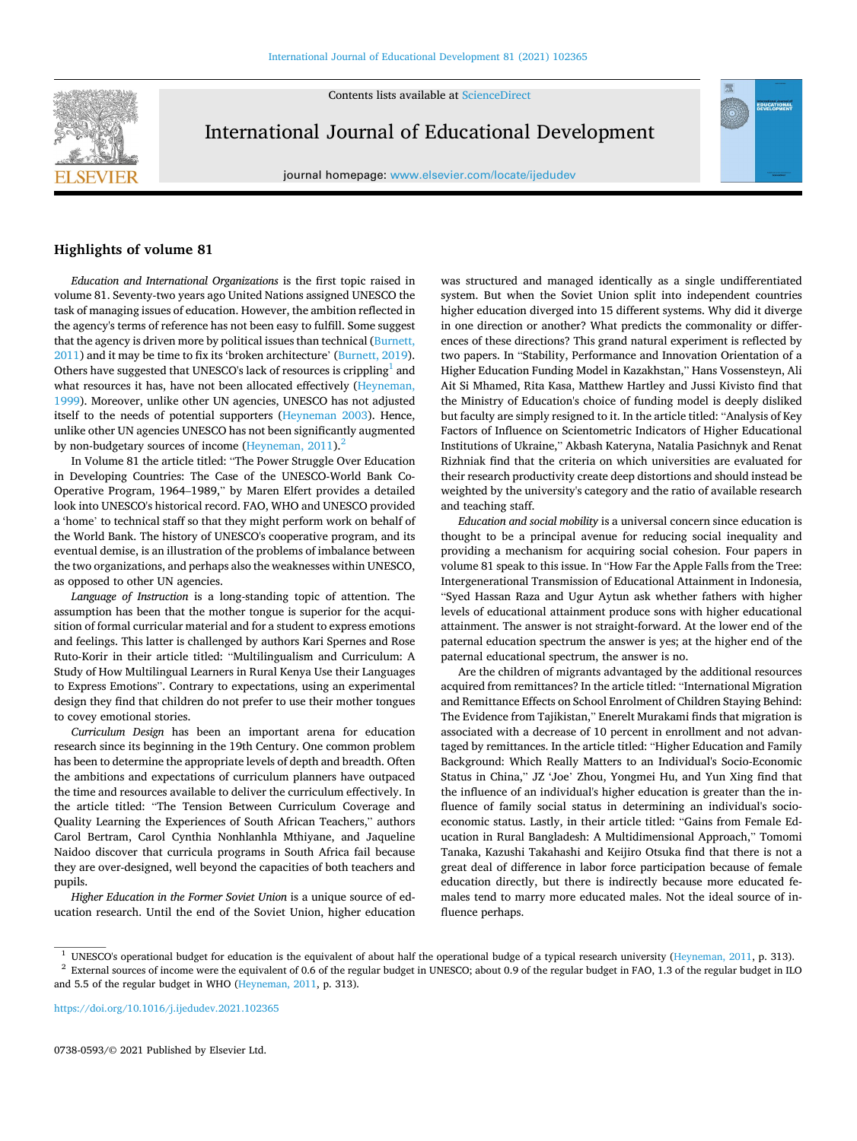Contents lists available at [ScienceDirect](www.sciencedirect.com/science/journal/07380593)



International Journal of Educational Development

journal homepage: [www.elsevier.com/locate/ijedudev](https://www.elsevier.com/locate/ijedudev)



## **Highlights of volume 81**

*Education and International Organizations* is the first topic raised in volume 81. Seventy-two years ago United Nations assigned UNESCO the task of managing issues of education. However, the ambition reflected in the agency's terms of reference has not been easy to fulfill. Some suggest that the agency is driven more by political issues than technical (Burnett, [2011\)](#page-1-0) and it may be time to fix its 'broken architecture' [\(Burnett, 2019](#page-1-0)). Others have suggested that UNESCO's lack of resources is crippling $<sup>1</sup>$  and</sup> what resources it has, have not been allocated effectively (Heyneman, [1999\)](#page-1-0). Moreover, unlike other UN agencies, UNESCO has not adjusted itself to the needs of potential supporters [\(Heyneman 2003\)](#page-1-0). Hence, unlike other UN agencies UNESCO has not been significantly augmented by non-budgetary sources of income (Heyneman,  $2011$ ).<sup>2</sup>

In Volume 81 the article titled: "The Power Struggle Over Education in Developing Countries: The Case of the UNESCO-World Bank Co-Operative Program, 1964–1989," by Maren Elfert provides a detailed look into UNESCO's historical record. FAO, WHO and UNESCO provided a 'home' to technical staff so that they might perform work on behalf of the World Bank. The history of UNESCO's cooperative program, and its eventual demise, is an illustration of the problems of imbalance between the two organizations, and perhaps also the weaknesses within UNESCO, as opposed to other UN agencies.

*Language of Instruction* is a long-standing topic of attention. The assumption has been that the mother tongue is superior for the acquisition of formal curricular material and for a student to express emotions and feelings. This latter is challenged by authors Kari Spernes and Rose Ruto-Korir in their article titled: "Multilingualism and Curriculum: A Study of How Multilingual Learners in Rural Kenya Use their Languages to Express Emotions". Contrary to expectations, using an experimental design they find that children do not prefer to use their mother tongues to covey emotional stories.

*Curriculum Design* has been an important arena for education research since its beginning in the 19th Century. One common problem has been to determine the appropriate levels of depth and breadth. Often the ambitions and expectations of curriculum planners have outpaced the time and resources available to deliver the curriculum effectively. In the article titled: "The Tension Between Curriculum Coverage and Quality Learning the Experiences of South African Teachers," authors Carol Bertram, Carol Cynthia Nonhlanhla Mthiyane, and Jaqueline Naidoo discover that curricula programs in South Africa fail because they are over-designed, well beyond the capacities of both teachers and pupils.

*Higher Education in the Former Soviet Union* is a unique source of education research. Until the end of the Soviet Union, higher education

was structured and managed identically as a single undifferentiated system. But when the Soviet Union split into independent countries higher education diverged into 15 different systems. Why did it diverge in one direction or another? What predicts the commonality or differences of these directions? This grand natural experiment is reflected by two papers. In "Stability, Performance and Innovation Orientation of a Higher Education Funding Model in Kazakhstan," Hans Vossensteyn, Ali Ait Si Mhamed, Rita Kasa, Matthew Hartley and Jussi Kivisto find that the Ministry of Education's choice of funding model is deeply disliked but faculty are simply resigned to it. In the article titled: "Analysis of Key Factors of Influence on Scientometric Indicators of Higher Educational Institutions of Ukraine," Akbash Kateryna, Natalia Pasichnyk and Renat Rizhniak find that the criteria on which universities are evaluated for their research productivity create deep distortions and should instead be weighted by the university's category and the ratio of available research and teaching staff.

*Education and social mobility* is a universal concern since education is thought to be a principal avenue for reducing social inequality and providing a mechanism for acquiring social cohesion. Four papers in volume 81 speak to this issue. In "How Far the Apple Falls from the Tree: Intergenerational Transmission of Educational Attainment in Indonesia, "Syed Hassan Raza and Ugur Aytun ask whether fathers with higher levels of educational attainment produce sons with higher educational attainment. The answer is not straight-forward. At the lower end of the paternal education spectrum the answer is yes; at the higher end of the paternal educational spectrum, the answer is no.

Are the children of migrants advantaged by the additional resources acquired from remittances? In the article titled: "International Migration and Remittance Effects on School Enrolment of Children Staying Behind: The Evidence from Tajikistan," Enerelt Murakami finds that migration is associated with a decrease of 10 percent in enrollment and not advantaged by remittances. In the article titled: "Higher Education and Family Background: Which Really Matters to an Individual's Socio-Economic Status in China," JZ 'Joe' Zhou, Yongmei Hu, and Yun Xing find that the influence of an individual's higher education is greater than the influence of family social status in determining an individual's socioeconomic status. Lastly, in their article titled: "Gains from Female Education in Rural Bangladesh: A Multidimensional Approach," Tomomi Tanaka, Kazushi Takahashi and Keijiro Otsuka find that there is not a great deal of difference in labor force participation because of female education directly, but there is indirectly because more educated females tend to marry more educated males. Not the ideal source of influence perhaps.

<https://doi.org/10.1016/j.ijedudev.2021.102365>

<sup>&</sup>lt;sup>1</sup> UNESCO's operational budget for education is the equivalent of about half the operational budge of a typical research university [\(Heyneman, 2011,](#page-1-0) p. 313).<br><sup>2</sup> External sources of income were the equivalent of 0.6 of t

and 5.5 of the regular budget in WHO ([Heyneman, 2011](#page-1-0), p. 313).